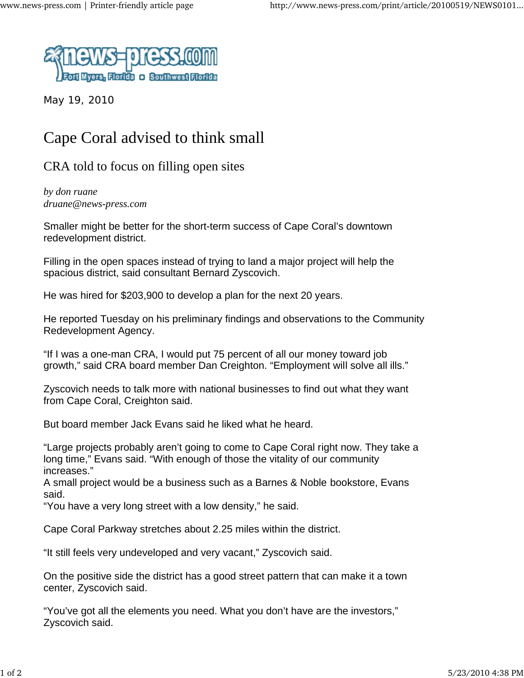

May 19, 2010

## Cape Coral advised to think small

CRA told to focus on filling open sites

*by don ruane druane@news-press.com*

Smaller might be better for the short-term success of Cape Coral's downtown redevelopment district.

Filling in the open spaces instead of trying to land a major project will help the spacious district, said consultant Bernard Zyscovich.

He was hired for \$203,900 to develop a plan for the next 20 years.

He reported Tuesday on his preliminary findings and observations to the Community Redevelopment Agency.

"If I was a one-man CRA, I would put 75 percent of all our money toward job growth," said CRA board member Dan Creighton. "Employment will solve all ills."

Zyscovich needs to talk more with national businesses to find out what they want from Cape Coral, Creighton said.

But board member Jack Evans said he liked what he heard.

"Large projects probably aren't going to come to Cape Coral right now. They take a long time," Evans said. "With enough of those the vitality of our community increases."

A small project would be a business such as a Barnes & Noble bookstore, Evans said.

"You have a very long street with a low density," he said.

Cape Coral Parkway stretches about 2.25 miles within the district.

"It still feels very undeveloped and very vacant," Zyscovich said.

On the positive side the district has a good street pattern that can make it a town center, Zyscovich said.

"You've got all the elements you need. What you don't have are the investors," Zyscovich said.